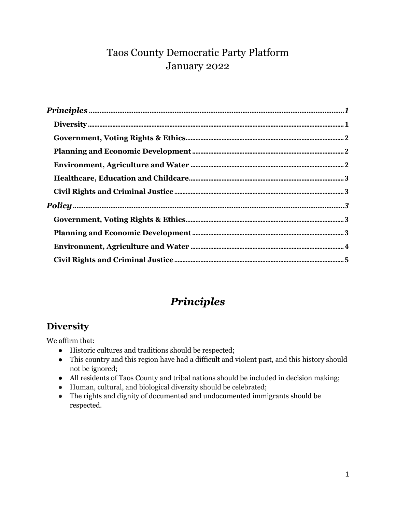## Taos County Democratic Party Platform January 2022

# *Principles*

#### <span id="page-0-1"></span><span id="page-0-0"></span>**Diversity**

We affirm that:

- Historic cultures and traditions should be respected;
- This country and this region have had a difficult and violent past, and this history should not be ignored;
- All residents of Taos County and tribal nations should be included in decision making;
- Human, cultural, and biological diversity should be celebrated;
- The rights and dignity of documented and undocumented immigrants should be respected.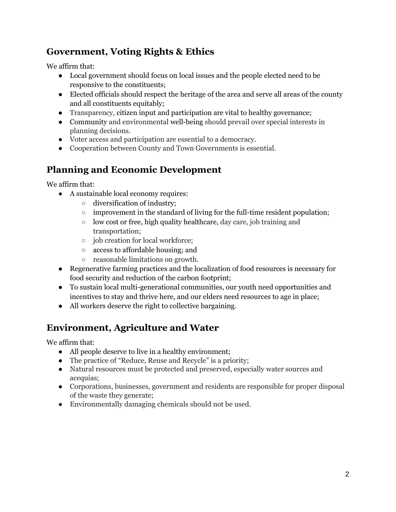#### <span id="page-1-0"></span>**Government, Voting Rights & Ethics**

We affirm that:

- Local government should focus on local issues and the people elected need to be responsive to the constituents;
- Elected officials should respect the heritage of the area and serve all areas of the county and all constituents equitably;
- Transparency, citizen input and participation are vital to healthy governance;
- Community and environmental well-being should prevail over special interests in planning decisions.
- Voter access and participation are essential to a democracy.
- Cooperation between County and Town Governments is essential.

# <span id="page-1-1"></span>**Planning and Economic Development**

We affirm that:

- A sustainable local economy requires:
	- diversification of industry;
	- improvement in the standard of living for the full-time resident population;
	- low cost or free, high quality healthcare, day care, job training and transportation;
	- job creation for local workforce;
	- access to affordable housing; and
	- reasonable limitations on growth.
- Regenerative farming practices and the localization of food resources is necessary for food security and reduction of the carbon footprint;
- To sustain local multi-generational communities, our youth need opportunities and incentives to stay and thrive here, and our elders need resources to age in place;
- All workers deserve the right to collective bargaining.

## <span id="page-1-2"></span>**Environment, Agriculture and Water**

We affirm that:

- All people deserve to live in a healthy environment;
- The practice of "Reduce, Reuse and Recycle" is a priority;
- Natural resources must be protected and preserved, especially water sources and acequias;
- Corporations, businesses, government and residents are responsible for proper disposal of the waste they generate;
- Environmentally damaging chemicals should not be used.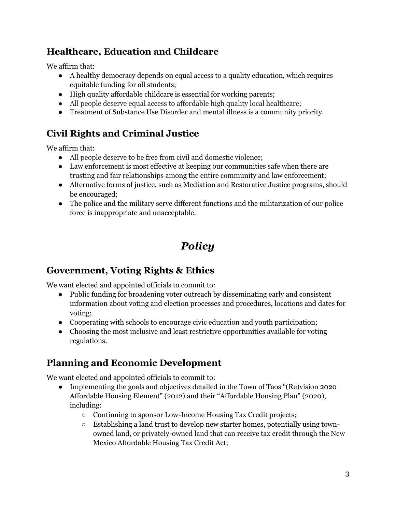#### <span id="page-2-0"></span>**Healthcare, Education and Childcare**

We affirm that:

- A healthy democracy depends on equal access to a quality education, which requires equitable funding for all students;
- High quality affordable childcare is essential for working parents;
- All people deserve equal access to affordable high quality local healthcare;
- Treatment of Substance Use Disorder and mental illness is a community priority.

#### <span id="page-2-1"></span>**Civil Rights and Criminal Justice**

We affirm that:

- All people deserve to be free from civil and domestic violence;
- Law enforcement is most effective at keeping our communities safe when there are trusting and fair relationships among the entire community and law enforcement;
- Alternative forms of justice, such as Mediation and Restorative Justice programs, should be encouraged;
- <span id="page-2-2"></span>● The police and the military serve different functions and the militarization of our police force is inappropriate and unacceptable.

# *Policy*

#### <span id="page-2-3"></span>**Government, Voting Rights & Ethics**

We want elected and appointed officials to commit to:

- Public funding for broadening voter outreach by disseminating early and consistent information about voting and election processes and procedures, locations and dates for voting;
- Cooperating with schools to encourage civic education and youth participation;
- Choosing the most inclusive and least restrictive opportunities available for voting regulations.

#### <span id="page-2-4"></span>**Planning and Economic Development**

We want elected and appointed officials to commit to:

- Implementing the goals and objectives detailed in the Town of Taos "(Re)vision 2020 Affordable Housing Element" (2012) and their "Affordable Housing Plan" (2020), including:
	- Continuing to sponsor Low-Income Housing Tax Credit projects;
	- Establishing a land trust to develop new starter homes, potentially using townowned land, or privately-owned land that can receive tax credit through the New Mexico Affordable Housing Tax Credit Act;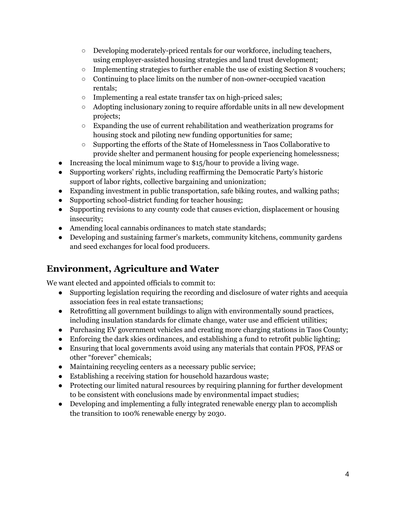- $\circ$  Developing moderately-priced rentals for our workforce, including teachers, using employer-assisted housing strategies and land trust development;
- $\circ$  Implementing strategies to further enable the use of existing Section 8 vouchers;
- Continuing to place limits on the number of non-owner-occupied vacation rentals;
- Implementing a real estate transfer tax on high-priced sales;
- Adopting inclusionary zoning to require affordable units in all new development projects;
- $\circ$  Expanding the use of current rehabilitation and weatherization programs for housing stock and piloting new funding opportunities for same;
- Supporting the efforts of the State of Homelessness in Taos Collaborative to provide shelter and permanent housing for people experiencing homelessness;
- Increasing the local minimum wage to \$15/hour to provide a living wage.
- Supporting workers' rights, including reaffirming the Democratic Party's historic support of labor rights, collective bargaining and unionization;
- Expanding investment in public transportation, safe biking routes, and walking paths;
- Supporting school-district funding for teacher housing;
- Supporting revisions to any county code that causes eviction, displacement or housing insecurity;
- Amending local cannabis ordinances to match state standards;
- Developing and sustaining farmer's markets, community kitchens, community gardens and seed exchanges for local food producers.

#### <span id="page-3-0"></span>**Environment, Agriculture and Water**

We want elected and appointed officials to commit to:

- Supporting legislation requiring the recording and disclosure of water rights and acequia association fees in real estate transactions;
- Retrofitting all government buildings to align with environmentally sound practices, including insulation standards for climate change, water use and efficient utilities;
- Purchasing EV government vehicles and creating more charging stations in Taos County;
- Enforcing the dark skies ordinances, and establishing a fund to retrofit public lighting;
- Ensuring that local governments avoid using any materials that contain PFOS, PFAS or other "forever" chemicals;
- Maintaining recycling centers as a necessary public service;
- Establishing a receiving station for household hazardous waste;
- Protecting our limited natural resources by requiring planning for further development to be consistent with conclusions made by environmental impact studies;
- Developing and implementing a fully integrated renewable energy plan to accomplish the transition to 100% renewable energy by 2030.